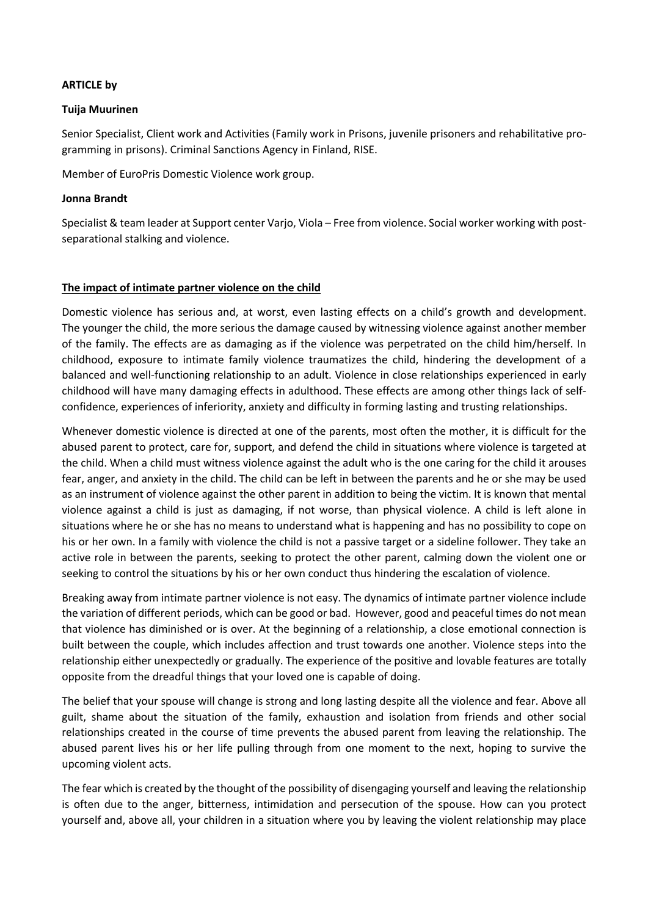## **ARTICLE by**

## **Tuija Muurinen**

Senior Specialist, Client work and Activities (Family work in Prisons, juvenile prisoners and rehabilitative programming in prisons). Criminal Sanctions Agency in Finland, RISE.

Member of EuroPris Domestic Violence work group.

## **Jonna Brandt**

Specialist & team leader at Support center Varjo, Viola – Free from violence. Social worker working with postseparational stalking and violence.

## **The impact of intimate partner violence on the child**

Domestic violence has serious and, at worst, even lasting effects on a child's growth and development. The younger the child, the more serious the damage caused by witnessing violence against another member of the family. The effects are as damaging as if the violence was perpetrated on the child him/herself. In childhood, exposure to intimate family violence traumatizes the child, hindering the development of a balanced and well-functioning relationship to an adult. Violence in close relationships experienced in early childhood will have many damaging effects in adulthood. These effects are among other things lack of selfconfidence, experiences of inferiority, anxiety and difficulty in forming lasting and trusting relationships.

Whenever domestic violence is directed at one of the parents, most often the mother, it is difficult for the abused parent to protect, care for, support, and defend the child in situations where violence is targeted at the child. When a child must witness violence against the adult who is the one caring for the child it arouses fear, anger, and anxiety in the child. The child can be left in between the parents and he or she may be used as an instrument of violence against the other parent in addition to being the victim. It is known that mental violence against a child is just as damaging, if not worse, than physical violence. A child is left alone in situations where he or she has no means to understand what is happening and has no possibility to cope on his or her own. In a family with violence the child is not a passive target or a sideline follower. They take an active role in between the parents, seeking to protect the other parent, calming down the violent one or seeking to control the situations by his or her own conduct thus hindering the escalation of violence.

Breaking away from intimate partner violence is not easy. The dynamics of intimate partner violence include the variation of different periods, which can be good or bad. However, good and peaceful times do not mean that violence has diminished or is over. At the beginning of a relationship, a close emotional connection is built between the couple, which includes affection and trust towards one another. Violence steps into the relationship either unexpectedly or gradually. The experience of the positive and lovable features are totally opposite from the dreadful things that your loved one is capable of doing.

The belief that your spouse will change is strong and long lasting despite all the violence and fear. Above all guilt, shame about the situation of the family, exhaustion and isolation from friends and other social relationships created in the course of time prevents the abused parent from leaving the relationship. The abused parent lives his or her life pulling through from one moment to the next, hoping to survive the upcoming violent acts.

The fear which is created by the thought of the possibility of disengaging yourself and leaving the relationship is often due to the anger, bitterness, intimidation and persecution of the spouse. How can you protect yourself and, above all, your children in a situation where you by leaving the violent relationship may place